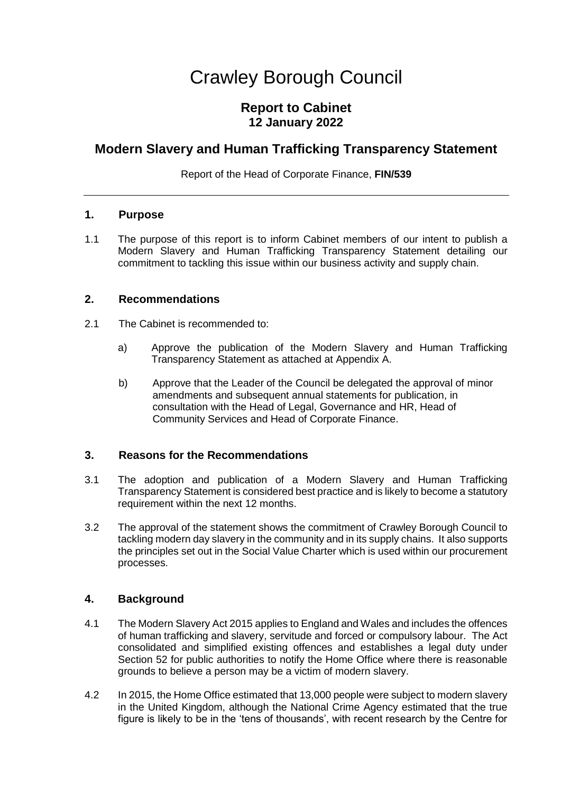# Crawley Borough Council

# **Report to Cabinet 12 January 2022**

# **Modern Slavery and Human Trafficking Transparency Statement**

Report of the Head of Corporate Finance, **FIN/539**

#### **1. Purpose**

1.1 The purpose of this report is to inform Cabinet members of our intent to publish a Modern Slavery and Human Trafficking Transparency Statement detailing our commitment to tackling this issue within our business activity and supply chain.

#### **2. Recommendations**

- 2.1 The Cabinet is recommended to:
	- a) Approve the publication of the Modern Slavery and Human Trafficking Transparency Statement as attached at Appendix A.
	- b) Approve that the Leader of the Council be delegated the approval of minor amendments and subsequent annual statements for publication, in consultation with the Head of Legal, Governance and HR, Head of Community Services and Head of Corporate Finance.

# **3. Reasons for the Recommendations**

- 3.1 The adoption and publication of a Modern Slavery and Human Trafficking Transparency Statement is considered best practice and is likely to become a statutory requirement within the next 12 months.
- 3.2 The approval of the statement shows the commitment of Crawley Borough Council to tackling modern day slavery in the community and in its supply chains. It also supports the principles set out in the Social Value Charter which is used within our procurement processes.

#### **4. Background**

- 4.1 The Modern Slavery Act 2015 applies to England and Wales and includes the offences of human trafficking and slavery, servitude and forced or compulsory labour. The Act consolidated and simplified existing offences and establishes a legal duty under Section 52 for public authorities to notify the Home Office where there is reasonable grounds to believe a person may be a victim of modern slavery.
- 4.2 In 2015, the Home Office estimated that 13,000 people were subject to modern slavery in the United Kingdom, although the National Crime Agency estimated that the true figure is likely to be in the 'tens of thousands', with recent research by the Centre for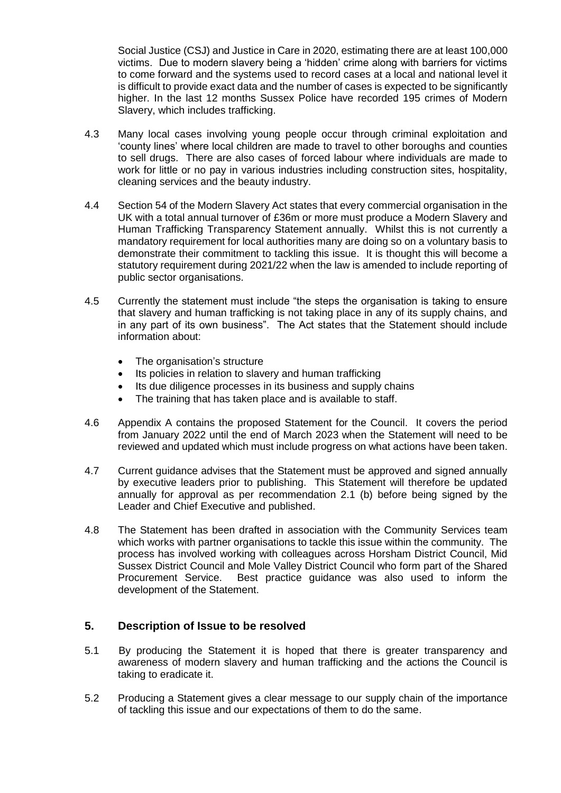Social Justice (CSJ) and Justice in Care in 2020, estimating there are at least 100,000 victims. Due to modern slavery being a 'hidden' crime along with barriers for victims to come forward and the systems used to record cases at a local and national level it is difficult to provide exact data and the number of cases is expected to be significantly higher. In the last 12 months Sussex Police have recorded 195 crimes of Modern Slavery, which includes trafficking.

- 4.3 Many local cases involving young people occur through criminal exploitation and 'county lines' where local children are made to travel to other boroughs and counties to sell drugs. There are also cases of forced labour where individuals are made to work for little or no pay in various industries including construction sites, hospitality, cleaning services and the beauty industry.
- 4.4 Section 54 of the Modern Slavery Act states that every commercial organisation in the UK with a total annual turnover of £36m or more must produce a Modern Slavery and Human Trafficking Transparency Statement annually. Whilst this is not currently a mandatory requirement for local authorities many are doing so on a voluntary basis to demonstrate their commitment to tackling this issue. It is thought this will become a statutory requirement during 2021/22 when the law is amended to include reporting of public sector organisations.
- 4.5 Currently the statement must include "the steps the organisation is taking to ensure that slavery and human trafficking is not taking place in any of its supply chains, and in any part of its own business". The Act states that the Statement should include information about:
	- The organisation's structure
	- Its policies in relation to slavery and human trafficking
	- Its due diligence processes in its business and supply chains
	- The training that has taken place and is available to staff.
- 4.6 Appendix A contains the proposed Statement for the Council. It covers the period from January 2022 until the end of March 2023 when the Statement will need to be reviewed and updated which must include progress on what actions have been taken.
- 4.7 Current guidance advises that the Statement must be approved and signed annually by executive leaders prior to publishing. This Statement will therefore be updated annually for approval as per recommendation 2.1 (b) before being signed by the Leader and Chief Executive and published.
- 4.8 The Statement has been drafted in association with the Community Services team which works with partner organisations to tackle this issue within the community. The process has involved working with colleagues across Horsham District Council, Mid Sussex District Council and Mole Valley District Council who form part of the Shared Procurement Service. Best practice guidance was also used to inform the development of the Statement.

# **5. Description of Issue to be resolved**

- 5.1 By producing the Statement it is hoped that there is greater transparency and awareness of modern slavery and human trafficking and the actions the Council is taking to eradicate it.
- 5.2 Producing a Statement gives a clear message to our supply chain of the importance of tackling this issue and our expectations of them to do the same.